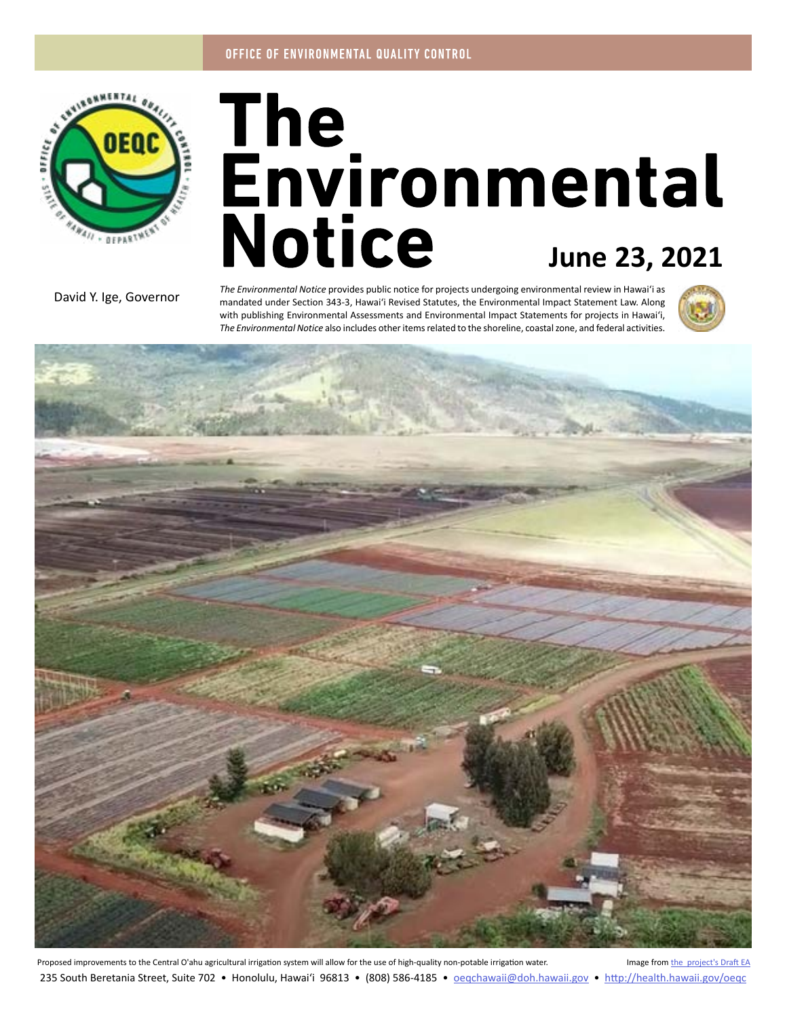

# The<br>Environmental **Notice June 23, 2021**

David Y. Ige, Governor

*The Environmental Notice* provides public notice for projects undergoing environmental review in Hawaiʻi as mandated under Section 343-3, Hawaiʻi Revised Statutes, the Environmental Impact Statement Law. Along with publishing Environmental Assessments and Environmental Impact Statements for projects in Hawaiʻi, *The Environmental Notice* also includes other items related to the shoreline, coastal zone, and federal activities.





Proposed improvements to the Central O'ahu agricultural irrigation system will allow for the use of high-quality non-potable irrigation water. Image from [the project's Draft EA](#page-4-0) 235 South Beretania Street, Suite 702 • Honolulu, Hawai'i 96813 • (808) 586-4185 • oegchawaii@doh.hawaii.gov • http://health.hawaii.gov/oegc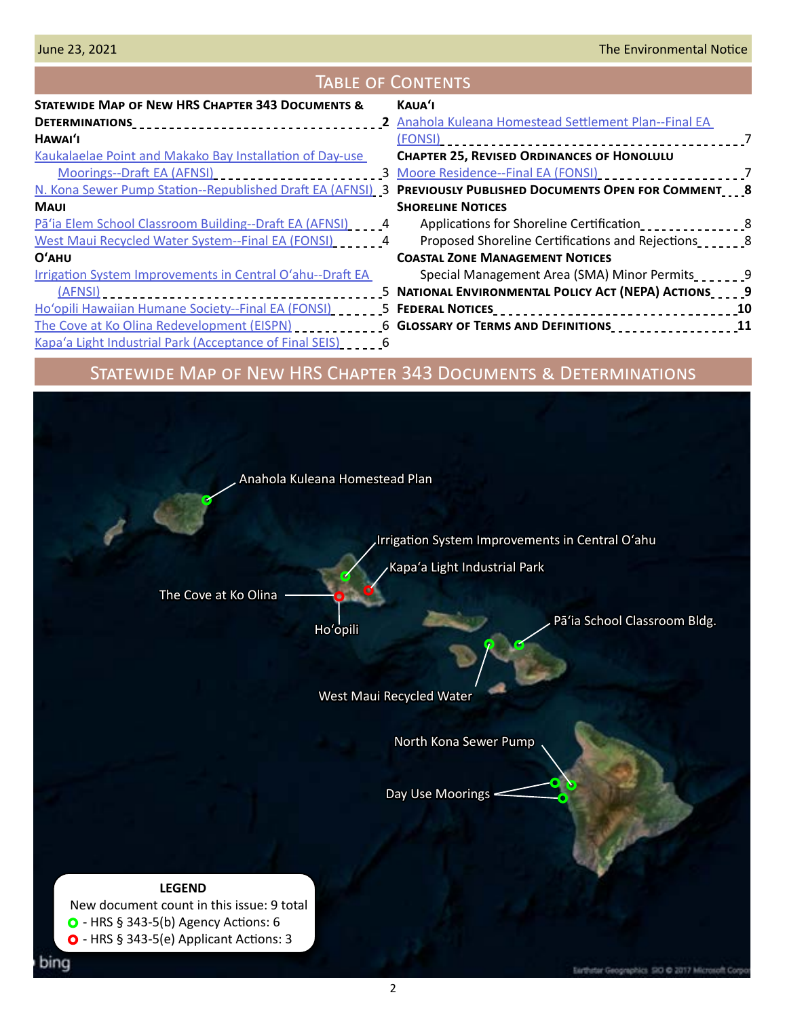# Table of Contents

| STATEWIDE MAP OF NEW HRS CHAPTER 343 DOCUMENTS &                                                                                                                                                                                        | KAUA'I                                                       |  |
|-----------------------------------------------------------------------------------------------------------------------------------------------------------------------------------------------------------------------------------------|--------------------------------------------------------------|--|
|                                                                                                                                                                                                                                         | 2 Anahola Kuleana Homestead Settlement Plan--Final EA        |  |
| HAWAI'I                                                                                                                                                                                                                                 | (FONSI)                                                      |  |
| Kaukalaelae Point and Makako Bay Installation of Day-use                                                                                                                                                                                | <b>CHAPTER 25, REVISED ORDINANCES OF HONOLULU</b>            |  |
| Moorings--Draft EA (AFNSI)<br><br><u> Letter Present</u><br>Letter Present Present Present Present Present Present Present Present Present Present Present Present Present Present Present Present Present Present Present Present Pres | 3 Moore Residence--Final EA (FONSI) _______________________7 |  |
| N. Kona Sewer Pump Station--Republished Draft EA (AFNSI) 3 PREVIOUSLY PUBLISHED DOCUMENTS OPEN FOR COMMENT 8                                                                                                                            |                                                              |  |
| <b>MAUI</b>                                                                                                                                                                                                                             | <b>SHORELINE NOTICES</b>                                     |  |
| Pa'ia Elem School Classroom Building--Draft EA (AFNSI) [14] 4                                                                                                                                                                           | Applications for Shoreline Certification                     |  |
| West Maui Recycled Water System--Final EA (FONSI) [14] 24                                                                                                                                                                               | Proposed Shoreline Certifications and Rejections             |  |
| O'AHU                                                                                                                                                                                                                                   | <b>COASTAL ZONE MANAGEMENT NOTICES</b>                       |  |
| Irrigation System Improvements in Central O'ahu--Draft EA                                                                                                                                                                               | Special Management Area (SMA) Minor Permits                  |  |
|                                                                                                                                                                                                                                         | 5 NATIONAL ENVIRONMENTAL POLICY ACT (NEPA) ACTIONS 9         |  |
|                                                                                                                                                                                                                                         |                                                              |  |
| The Cove at Ko Olina Redevelopment (EISPN) _____________6 GLOSSARY OF TERMS AND DEFINITIONS _________________11                                                                                                                         |                                                              |  |
| Kapa'a Light Industrial Park (Acceptance of Final SEIS) [10] [6]                                                                                                                                                                        |                                                              |  |
|                                                                                                                                                                                                                                         |                                                              |  |

# Statewide Map of New HRS Chapter 343 Documents & Determinations

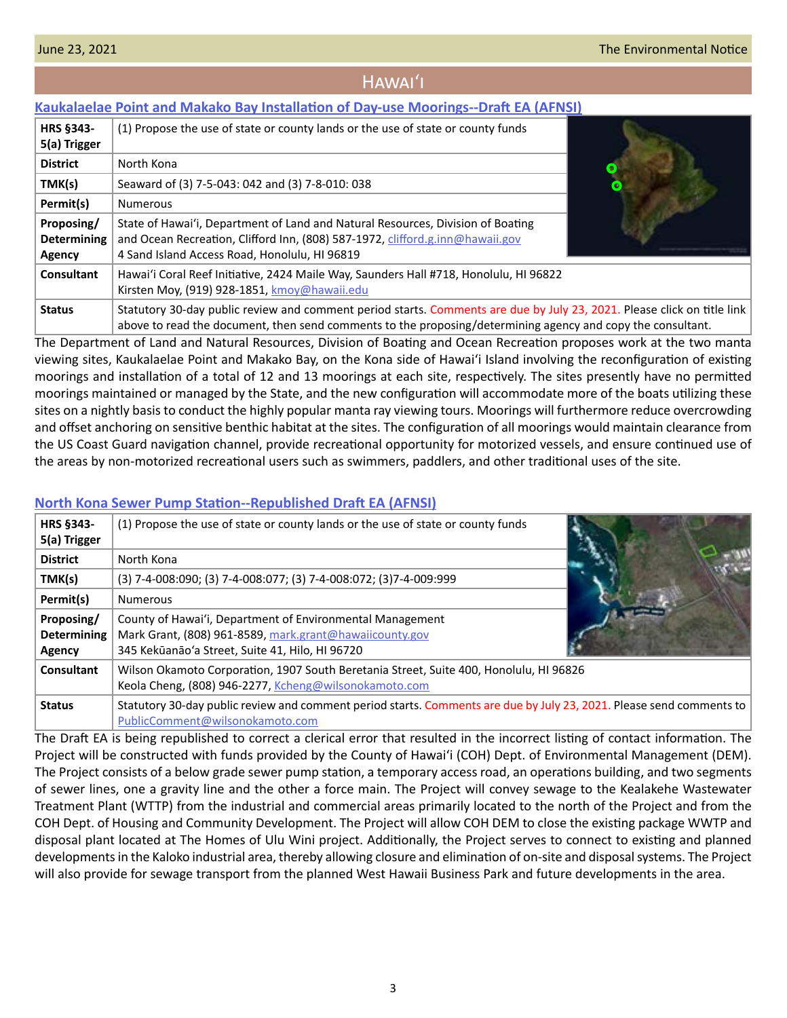### Hawaiʻi

### <span id="page-2-0"></span>**[Kaukalaelae Point and Makako Bay Installation of Day-use Moorings--Draft EA \(AFNSI\)](http://oeqc2.doh.hawaii.gov/Doc_Library/2021-06-23-HA-DEA-Kaukalaelae-Point-and-Makako-Bay-Installation-of-Day-Use-Mooring-Buoys.pdf)**

| <b>HRS §343-</b><br>5(a) Trigger           | (1) Propose the use of state or county lands or the use of state or county funds                                                                                                                                                       |  |
|--------------------------------------------|----------------------------------------------------------------------------------------------------------------------------------------------------------------------------------------------------------------------------------------|--|
| <b>District</b>                            | North Kona                                                                                                                                                                                                                             |  |
| TMK(s)                                     | Seaward of (3) 7-5-043: 042 and (3) 7-8-010: 038                                                                                                                                                                                       |  |
| Permit(s)                                  | <b>Numerous</b>                                                                                                                                                                                                                        |  |
| Proposing/<br><b>Determining</b><br>Agency | State of Hawai'i, Department of Land and Natural Resources, Division of Boating<br>and Ocean Recreation, Clifford Inn, (808) 587-1972, clifford.g.inn@hawaii.gov<br>4 Sand Island Access Road, Honolulu, HI 96819                      |  |
| <b>Consultant</b>                          | Hawai'i Coral Reef Initiative, 2424 Maile Way, Saunders Hall #718, Honolulu, HI 96822<br>Kirsten Moy, (919) 928-1851, kmoy@hawaii.edu                                                                                                  |  |
| <b>Status</b>                              | Statutory 30-day public review and comment period starts. Comments are due by July 23, 2021. Please click on title link<br>above to read the document, then send comments to the proposing/determining agency and copy the consultant. |  |

The Department of Land and Natural Resources, Division of Boating and Ocean Recreation proposes work at the two manta viewing sites, Kaukalaelae Point and Makako Bay, on the Kona side of Hawaiʻi Island involving the reconfiguration of existing moorings and installation of a total of 12 and 13 moorings at each site, respectively. The sites presently have no permitted moorings maintained or managed by the State, and the new configuration will accommodate more of the boats utilizing these sites on a nightly basis to conduct the highly popular manta ray viewing tours. Moorings will furthermore reduce overcrowding and offset anchoring on sensitive benthic habitat at the sites. The configuration of all moorings would maintain clearance from the US Coast Guard navigation channel, provide recreational opportunity for motorized vessels, and ensure continued use of the areas by non-motorized recreational users such as swimmers, paddlers, and other traditional uses of the site.

### **HRS §343- 5(a) Trigger** (1) Propose the use of state or county lands or the use of state or county funds **District** | North Kona **TMK(s)** (3) 7-4-008:090; (3) 7-4-008:077; (3) 7-4-008:072; (3)7-4-009:999 **Permit(s)** Numerous **Proposing/ Determining Agency** County of Hawaiʻi, Department of Environmental Management Mark Grant, (808) 961-8589, [mark.grant@hawaiicounty.gov](mailto:mark.grant%40hawaiicounty.gov?subject=) 345 Kekūanāo'a Street, Suite 41, Hilo, HI 96720 **Consultant** Wilson Okamoto Corporation, 1907 South Beretania Street, Suite 400, Honolulu, HI 96826 Keola Cheng, (808) 946-2277, [Kcheng@wilsonokamoto.com](mailto:Kcheng%40wilsonokamoto.com?subject=) **Status** Statutory 30-day public review and comment period starts. Comments are due by July 23, 2021. Please send comments to [PublicComment@wilsonokamoto.com](mailto:PublicComment%40wilsonokamoto.com?subject=)

### **[North Kona Sewer Pump Station--Republished Draft EA \(AFNSI\)](http://oeqc2.doh.hawaii.gov/Doc_Library/2021-06-23-HA-DEA-Republication-of-North-Kona-Sewer-Pump-Station.pdf)**

The Draft EA is being republished to correct a clerical error that resulted in the incorrect listing of contact information. The Project will be constructed with funds provided by the County of Hawaiʻi (COH) Dept. of Environmental Management (DEM). The Project consists of a below grade sewer pump station, a temporary access road, an operations building, and two segments of sewer lines, one a gravity line and the other a force main. The Project will convey sewage to the Kealakehe Wastewater Treatment Plant (WTTP) from the industrial and commercial areas primarily located to the north of the Project and from the COH Dept. of Housing and Community Development. The Project will allow COH DEM to close the existing package WWTP and disposal plant located at The Homes of Ulu Wini project. Additionally, the Project serves to connect to existing and planned developments in the Kaloko industrial area, thereby allowing closure and elimination of on-site and disposal systems. The Project will also provide for sewage transport from the planned West Hawaii Business Park and future developments in the area.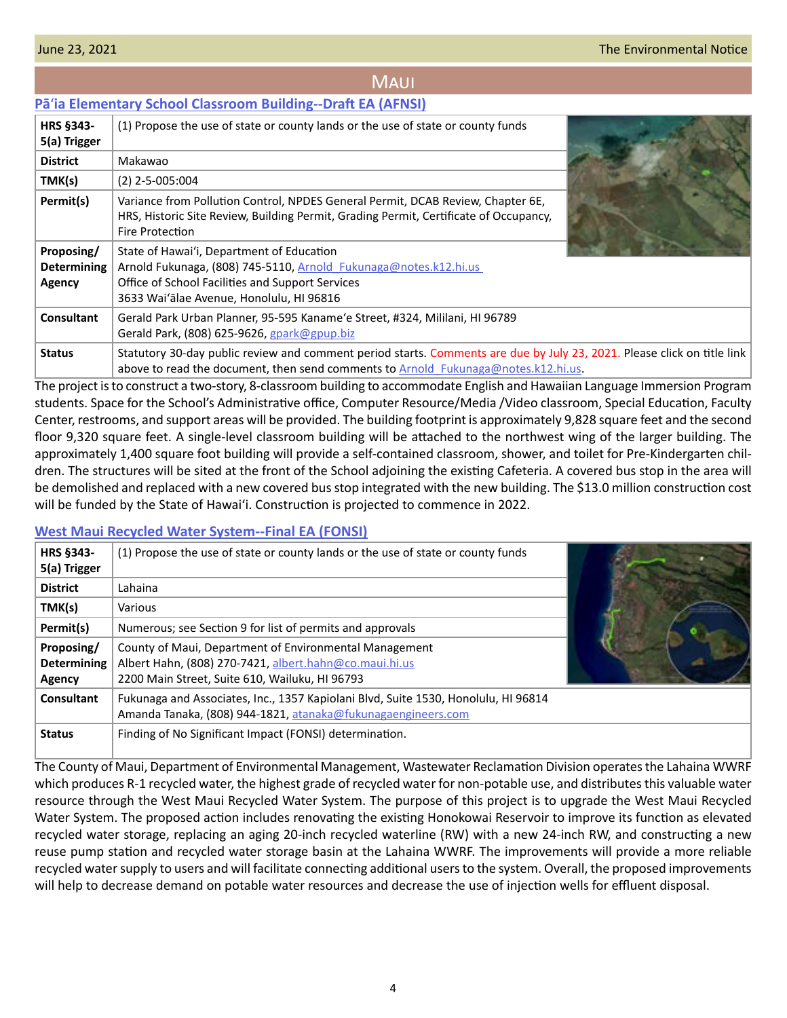# **MAUI**

## <span id="page-3-0"></span>**Pā**ʻ**[ia Elementary School Classroom Building--Draft EA \(AFNSI\)](http://oeqc2.doh.hawaii.gov/Doc_Library/2021-06-23-MA-DEA-Paia-Elementary-School-New-Classroom-Building.pdf)**

| HRS §343-<br>5(a) Trigger                  | (1) Propose the use of state or county lands or the use of state or county funds                                                                                                                              |  |
|--------------------------------------------|---------------------------------------------------------------------------------------------------------------------------------------------------------------------------------------------------------------|--|
| <b>District</b>                            | Makawao                                                                                                                                                                                                       |  |
| TMK(s)                                     | $(2)$ 2-5-005:004                                                                                                                                                                                             |  |
| Permit(s)                                  | Variance from Pollution Control, NPDES General Permit, DCAB Review, Chapter 6E,<br>HRS, Historic Site Review, Building Permit, Grading Permit, Certificate of Occupancy,<br><b>Fire Protection</b>            |  |
| Proposing/<br><b>Determining</b><br>Agency | State of Hawai'i, Department of Education<br>Arnold Fukunaga, (808) 745-5110, Arnold Fukunaga@notes.k12.hi.us<br>Office of School Facilities and Support Services<br>3633 Wai'alae Avenue, Honolulu, HI 96816 |  |
| Consultant                                 | Gerald Park Urban Planner, 95-595 Kaname'e Street, #324, Mililani, HI 96789<br>Gerald Park, (808) 625-9626, gpark@gpup.biz                                                                                    |  |
| <b>Status</b>                              | Statutory 30-day public review and comment period starts. Comments are due by July 23, 2021. Please click on title link<br>above to read the document, then send comments to Arnold Fukunaga@notes.k12.hi.us. |  |

The project is to construct a two-story, 8-classroom building to accommodate English and Hawaiian Language Immersion Program students. Space for the School's Administrative office, Computer Resource/Media /Video classroom, Special Education, Faculty Center, restrooms, and support areas will be provided. The building footprint is approximately 9,828 square feet and the second floor 9,320 square feet. A single-level classroom building will be attached to the northwest wing of the larger building. The approximately 1,400 square foot building will provide a self-contained classroom, shower, and toilet for Pre-Kindergarten children. The structures will be sited at the front of the School adjoining the existing Cafeteria. A covered bus stop in the area will be demolished and replaced with a new covered bus stop integrated with the new building. The \$13.0 million construction cost will be funded by the State of Hawai'i. Construction is projected to commence in 2022.

### **[West Maui Recycled Water System--Final EA \(FONSI\)](http://oeqc2.doh.hawaii.gov/Doc_Library/2021-06-23-MA-FEA-West-Maui-Recycled-Water-System.pdf)**

| <b>HRS §343-</b><br>5(a) Trigger                  | (1) Propose the use of state or county lands or the use of state or county funds                                                                                   |  |
|---------------------------------------------------|--------------------------------------------------------------------------------------------------------------------------------------------------------------------|--|
| <b>District</b>                                   | Lahaina                                                                                                                                                            |  |
| TMK(s)                                            | Various                                                                                                                                                            |  |
| Permit(s)                                         | Numerous; see Section 9 for list of permits and approvals                                                                                                          |  |
| Proposing/<br><b>Determining</b><br><b>Agency</b> | County of Maui, Department of Environmental Management<br>Albert Hahn, (808) 270-7421, albert.hahn@co.maui.hi.us<br>2200 Main Street, Suite 610, Wailuku, HI 96793 |  |
| Consultant                                        | Fukunaga and Associates, Inc., 1357 Kapiolani Blvd, Suite 1530, Honolulu, HI 96814<br>Amanda Tanaka, (808) 944-1821, atanaka@fukunagaengineers.com                 |  |
| <b>Status</b>                                     | Finding of No Significant Impact (FONSI) determination.                                                                                                            |  |

The County of Maui, Department of Environmental Management, Wastewater Reclamation Division operates the Lahaina WWRF which produces R-1 recycled water, the highest grade of recycled water for non-potable use, and distributes this valuable water resource through the West Maui Recycled Water System. The purpose of this project is to upgrade the West Maui Recycled Water System. The proposed action includes renovating the existing Honokowai Reservoir to improve its function as elevated recycled water storage, replacing an aging 20-inch recycled waterline (RW) with a new 24-inch RW, and constructing a new reuse pump station and recycled water storage basin at the Lahaina WWRF. The improvements will provide a more reliable recycled water supply to users and will facilitate connecting additional users to the system. Overall, the proposed improvements will help to decrease demand on potable water resources and decrease the use of injection wells for effluent disposal.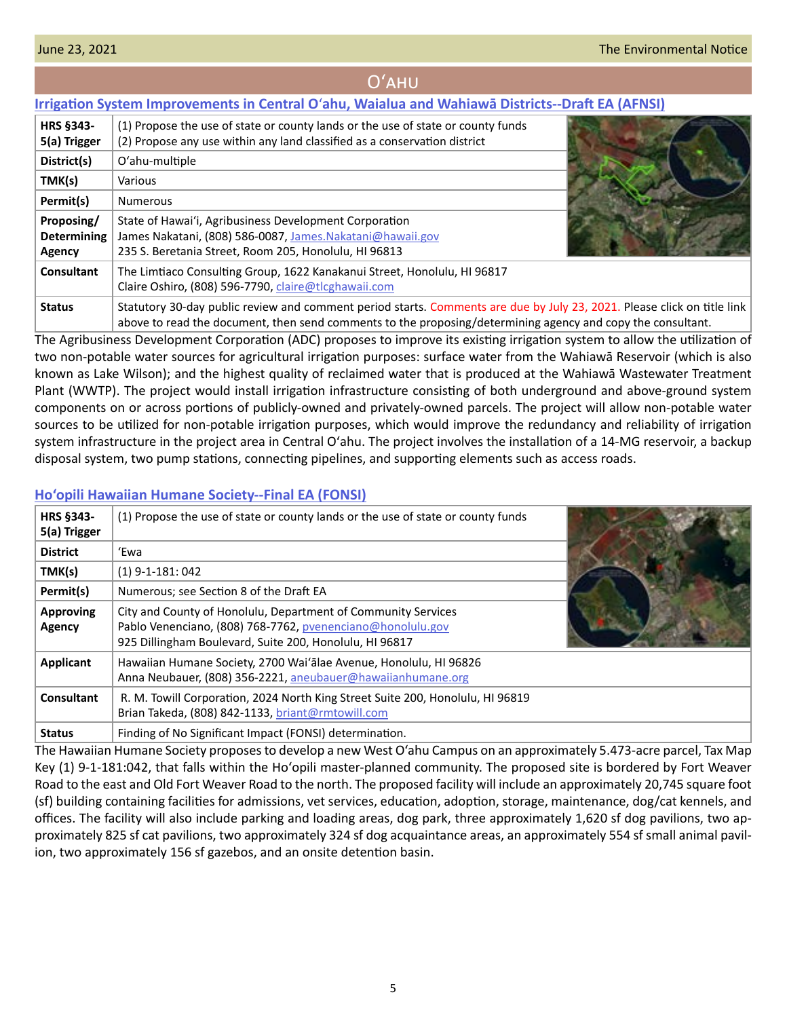# Oʻahu

# <span id="page-4-0"></span>**Irrigation System Improvements in Central O**ʻ**[ahu, Waialua and Wahiawā Districts--Draft EA \(AFNSI\)](http://oeqc2.doh.hawaii.gov/Doc_Library/2021-06-23-OA-DEA-Irrigation-System-Improvements-for-Central-Oahu,-Wahiawa,-and,-Waialua-Districts.pdf)**

| <b>HRS §343-</b><br>5(a) Trigger           | (1) Propose the use of state or county lands or the use of state or county funds<br>(2) Propose any use within any land classified as a conservation district                                                                          |  |
|--------------------------------------------|----------------------------------------------------------------------------------------------------------------------------------------------------------------------------------------------------------------------------------------|--|
| District(s)                                | O'ahu-multiple                                                                                                                                                                                                                         |  |
| TMK(s)                                     | Various                                                                                                                                                                                                                                |  |
| Permit(s)                                  | <b>Numerous</b>                                                                                                                                                                                                                        |  |
| Proposing/<br><b>Determining</b><br>Agency | State of Hawai'i, Agribusiness Development Corporation<br>James Nakatani, (808) 586-0087, James.Nakatani@hawaii.gov<br>235 S. Beretania Street, Room 205, Honolulu, HI 96813                                                           |  |
| Consultant                                 | The Limtiaco Consulting Group, 1622 Kanakanui Street, Honolulu, HI 96817<br>Claire Oshiro, (808) 596-7790, claire@tlcghawaii.com                                                                                                       |  |
| <b>Status</b>                              | Statutory 30-day public review and comment period starts. Comments are due by July 23, 2021. Please click on title link<br>above to read the document, then send comments to the proposing/determining agency and copy the consultant. |  |

The Agribusiness Development Corporation (ADC) proposes to improve its existing irrigation system to allow the utilization of two non-potable water sources for agricultural irrigation purposes: surface water from the Wahiawā Reservoir (which is also known as Lake Wilson); and the highest quality of reclaimed water that is produced at the Wahiawā Wastewater Treatment Plant (WWTP). The project would install irrigation infrastructure consisting of both underground and above-ground system components on or across portions of publicly-owned and privately-owned parcels. The project will allow non-potable water sources to be utilized for non-potable irrigation purposes, which would improve the redundancy and reliability of irrigation system infrastructure in the project area in Central Oʻahu. The project involves the installation of a 14-MG reservoir, a backup disposal system, two pump stations, connecting pipelines, and supporting elements such as access roads.

### **[Ho'opili Hawaiian Humane Society--Final EA \(FONSI\)](http://oeqc2.doh.hawaii.gov/Doc_Library/2021-06-23-OA-FEA-Hawaiian-Humane-Society-Hoopili-(Ewa-Campus).pdf)**

| <b>HRS §343-</b><br>5(a) Trigger | (1) Propose the use of state or county lands or the use of state or county funds                                                                                                       |  |
|----------------------------------|----------------------------------------------------------------------------------------------------------------------------------------------------------------------------------------|--|
| <b>District</b>                  | 'Ewa                                                                                                                                                                                   |  |
| TMK(s)                           | $(1)$ 9-1-181: 042                                                                                                                                                                     |  |
| Permit(s)                        | Numerous; see Section 8 of the Draft EA                                                                                                                                                |  |
| <b>Approving</b><br>Agency       | City and County of Honolulu, Department of Community Services<br>Pablo Venenciano, (808) 768-7762, pvenenciano@honolulu.gov<br>925 Dillingham Boulevard, Suite 200, Honolulu, HI 96817 |  |
| <b>Applicant</b>                 | Hawaiian Humane Society, 2700 Wai'alae Avenue, Honolulu, HI 96826<br>Anna Neubauer, (808) 356-2221, aneubauer@hawaiianhumane.org                                                       |  |
| Consultant                       | R. M. Towill Corporation, 2024 North King Street Suite 200, Honolulu, HI 96819<br>Brian Takeda, (808) 842-1133, briant@rmtowill.com                                                    |  |
| <b>Status</b>                    | Finding of No Significant Impact (FONSI) determination.                                                                                                                                |  |

The Hawaiian Humane Society proposes to develop a new West O'ahu Campus on an approximately 5.473-acre parcel, Tax Map Key (1) 9-1-181:042, that falls within the Hoʻopili master-planned community. The proposed site is bordered by Fort Weaver Road to the east and Old Fort Weaver Road to the north. The proposed facility will include an approximately 20,745 square foot (sf) building containing facilities for admissions, vet services, education, adoption, storage, maintenance, dog/cat kennels, and offices. The facility will also include parking and loading areas, dog park, three approximately 1,620 sf dog pavilions, two approximately 825 sf cat pavilions, two approximately 324 sf dog acquaintance areas, an approximately 554 sf small animal pavilion, two approximately 156 sf gazebos, and an onsite detention basin.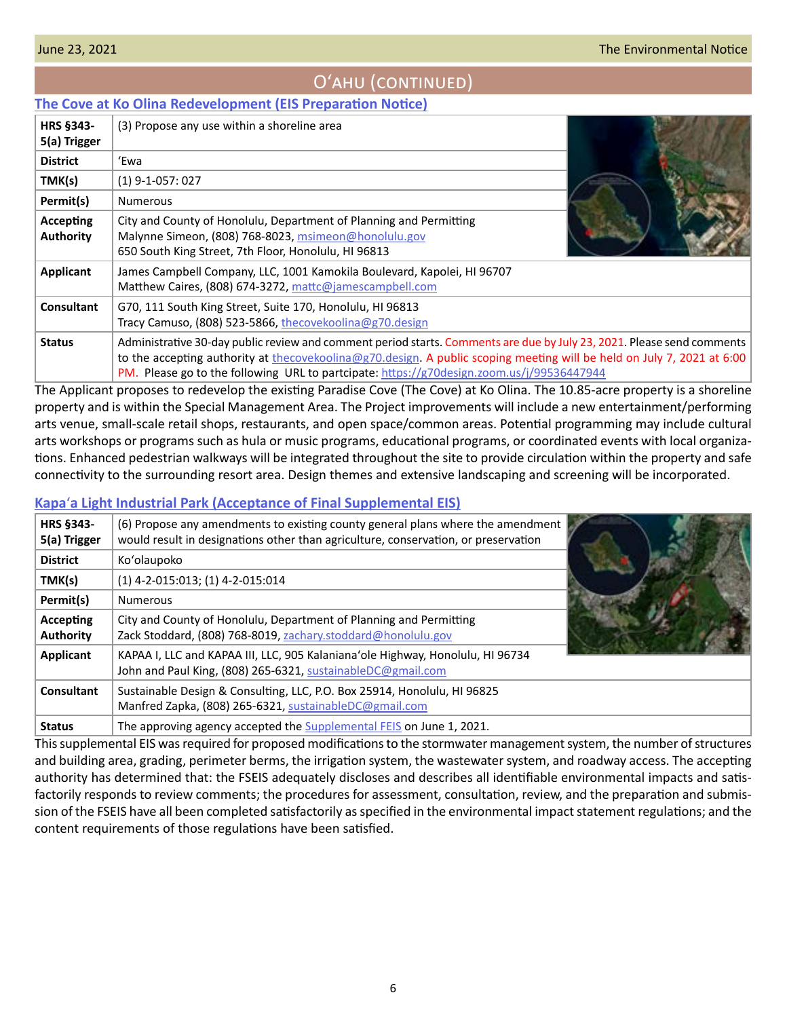# Oʻahu (continued)

### <span id="page-5-0"></span>**[The Cove at Ko Olina Redevelopment \(EIS Preparation Notice\)](http://oeqc2.doh.hawaii.gov/Doc_Library/2021-06-23-OA-EISPN-The-Cove-at-Ko-Olina-Redevelopment.pdf)**

| HRS §343-<br>5(a) Trigger            | (3) Propose any use within a shoreline area                                                                                                                                                                                                                                                                                                    |
|--------------------------------------|------------------------------------------------------------------------------------------------------------------------------------------------------------------------------------------------------------------------------------------------------------------------------------------------------------------------------------------------|
| <b>District</b>                      | 'Ewa                                                                                                                                                                                                                                                                                                                                           |
| TMK(s)                               | $(1)$ 9-1-057: 027                                                                                                                                                                                                                                                                                                                             |
| Permit(s)                            | <b>Numerous</b>                                                                                                                                                                                                                                                                                                                                |
| <b>Accepting</b><br><b>Authority</b> | City and County of Honolulu, Department of Planning and Permitting<br>Malynne Simeon, (808) 768-8023, msimeon@honolulu.gov<br>650 South King Street, 7th Floor, Honolulu, HI 96813                                                                                                                                                             |
| <b>Applicant</b>                     | James Campbell Company, LLC, 1001 Kamokila Boulevard, Kapolei, HI 96707<br>Matthew Caires, (808) 674-3272, mattc@jamescampbell.com                                                                                                                                                                                                             |
| <b>Consultant</b>                    | G70, 111 South King Street, Suite 170, Honolulu, HI 96813<br>Tracy Camuso, (808) 523-5866, thecovekoolina@g70.design                                                                                                                                                                                                                           |
| <b>Status</b>                        | Administrative 30-day public review and comment period starts. Comments are due by July 23, 2021. Please send comments<br>to the accepting authority at the covekoolina@g70.design. A public scoping meeting will be held on July 7, 2021 at 6:00<br>PM. Please go to the following URL to partcipate: https://g70design.zoom.us/j/99536447944 |

The Applicant proposes to redevelop the existing Paradise Cove (The Cove) at Ko Olina. The 10.85-acre property is a shoreline property and is within the Special Management Area. The Project improvements will include a new entertainment/performing arts venue, small-scale retail shops, restaurants, and open space/common areas. Potential programming may include cultural arts workshops or programs such as hula or music programs, educational programs, or coordinated events with local organizations. Enhanced pedestrian walkways will be integrated throughout the site to provide circulation within the property and safe connectivity to the surrounding resort area. Design themes and extensive landscaping and screening will be incorporated.

### **Kapa**ʻ**[a Light Industrial Park \(Acceptance of Final Supplemental EIS\)](http://oeqc2.doh.hawaii.gov/Doc_Library/2021-06-23-OA-2nd-FSEIS-Kapaa-Light-Industrial-Park-Acceptance.pdf)**

| <b>HRS §343-</b><br>5(a) Trigger | (6) Propose any amendments to existing county general plans where the amendment $\parallel$<br>would result in designations other than agriculture, conservation, or preservation |  |
|----------------------------------|-----------------------------------------------------------------------------------------------------------------------------------------------------------------------------------|--|
| <b>District</b>                  | Ko'olaupoko                                                                                                                                                                       |  |
| TMK(s)                           | $(1)$ 4-2-015:013; (1) 4-2-015:014                                                                                                                                                |  |
| Permit(s)                        | <b>Numerous</b>                                                                                                                                                                   |  |
| Accepting<br><b>Authority</b>    | City and County of Honolulu, Department of Planning and Permitting<br>Zack Stoddard, (808) 768-8019, zachary.stoddard@honolulu.gov                                                |  |
| <b>Applicant</b>                 | KAPAA I, LLC and KAPAA III, LLC, 905 Kalaniana'ole Highway, Honolulu, HI 96734<br>John and Paul King, (808) 265-6321, sustainableDC@gmail.com                                     |  |
| <b>Consultant</b>                | Sustainable Design & Consulting, LLC, P.O. Box 25914, Honolulu, HI 96825<br>Manfred Zapka, (808) 265-6321, sustainableDC@gmail.com                                                |  |
| <b>Status</b>                    | The approving agency accepted the Supplemental FEIS on June 1, 2021.                                                                                                              |  |

This supplemental EIS was required for proposed modifications to the stormwater management system, the number of structures and building area, grading, perimeter berms, the irrigation system, the wastewater system, and roadway access. The accepting authority has determined that: the FSEIS adequately discloses and describes all identifiable environmental impacts and satisfactorily responds to review comments; the procedures for assessment, consultation, review, and the preparation and submission of the FSEIS have all been completed satisfactorily as specified in the environmental impact statement regulations; and the content requirements of those regulations have been satisfied.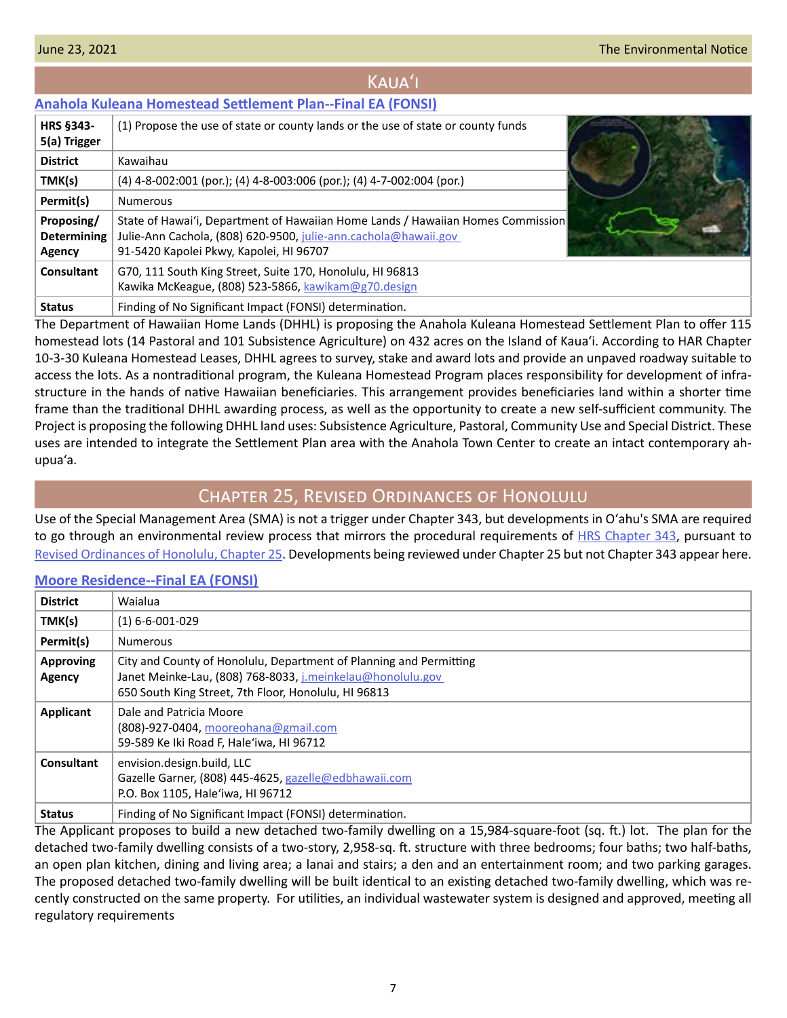# Kauaʻi

## <span id="page-6-0"></span>**[Anahola Kuleana Homestead Settlement Plan--Final EA \(FONSI\)](http://oeqc2.doh.hawaii.gov/Doc_Library/2021-06-23-KA-FEA-Anahola-Kuleana-Homestead-Settlement-Plan.pdf)**

| <b>HRS §343-</b><br>5(a) Trigger                  | (1) Propose the use of state or county lands or the use of state or county funds                                                                                                              |  |
|---------------------------------------------------|-----------------------------------------------------------------------------------------------------------------------------------------------------------------------------------------------|--|
| <b>District</b>                                   | Kawaihau                                                                                                                                                                                      |  |
| TMK(s)                                            | $(4)$ 4-8-002:001 (por.); (4) 4-8-003:006 (por.); (4) 4-7-002:004 (por.)                                                                                                                      |  |
| Permit(s)                                         | <b>Numerous</b>                                                                                                                                                                               |  |
| Proposing/<br><b>Determining</b><br><b>Agency</b> | State of Hawai'i, Department of Hawaiian Home Lands / Hawaiian Homes Commission<br>Julie-Ann Cachola, (808) 620-9500, julie-ann.cachola@hawaii.gov<br>91-5420 Kapolei Pkwy, Kapolei, HI 96707 |  |
| Consultant                                        | G70, 111 South King Street, Suite 170, Honolulu, HI 96813<br>Kawika McKeague, (808) 523-5866, kawikam@g70.design                                                                              |  |
| <b>Status</b>                                     | Finding of No Significant Impact (FONSI) determination.                                                                                                                                       |  |

The Department of Hawaiian Home Lands (DHHL) is proposing the Anahola Kuleana Homestead Settlement Plan to offer 115 homestead lots (14 Pastoral and 101 Subsistence Agriculture) on 432 acres on the Island of Kaua'i. According to HAR Chapter 10-3-30 Kuleana Homestead Leases, DHHL agrees to survey, stake and award lots and provide an unpaved roadway suitable to access the lots. As a nontraditional program, the Kuleana Homestead Program places responsibility for development of infrastructure in the hands of native Hawaiian beneficiaries. This arrangement provides beneficiaries land within a shorter time frame than the traditional DHHL awarding process, as well as the opportunity to create a new self-sufficient community. The Project is proposing the following DHHL land uses: Subsistence Agriculture, Pastoral, Community Use and Special District. These uses are intended to integrate the Settlement Plan area with the Anahola Town Center to create an intact contemporary ahupua'a.

# Chapter 25, Revised Ordinances of Honolulu

Use of the Special Management Area (SMA) is not a trigger under Chapter 343, but developments in Oʻahu's SMA are required to go through an environmental review process that mirrors the procedural requirements of [HRS Chapter 343](https://www.capitol.hawaii.gov/hrscurrent/Vol06_Ch0321-0344/HRS0343/HRS_0343-.htm), pursuant to [Revised Ordinances of Honolulu, Chapter 25.](https://www.honolulu.gov/rep/site/ocs/roh/ROH_Chapter_25_article_1_12.pdf) Developments being reviewed under Chapter 25 but not Chapter 343 appear here.

### **[Moore Residence--Final EA](http://oeqc2.doh.hawaii.gov/Other_TEN_Publications/2021-06-23-OA-Chapter-25-FEA-Moore-Residence.pdf) (FONSI)**

| <b>District</b>            | Waialua                                                                                                                                                                                  |
|----------------------------|------------------------------------------------------------------------------------------------------------------------------------------------------------------------------------------|
| TMK(s)                     | $(1)$ 6-6-001-029                                                                                                                                                                        |
| Permit(s)                  | <b>Numerous</b>                                                                                                                                                                          |
| <b>Approving</b><br>Agency | City and County of Honolulu, Department of Planning and Permitting<br>Janet Meinke-Lau, (808) 768-8033, j.meinkelau@honolulu.gov<br>650 South King Street, 7th Floor, Honolulu, HI 96813 |
| Applicant                  | Dale and Patricia Moore<br>(808)-927-0404, mooreohana@gmail.com<br>59-589 Ke Iki Road F, Hale'iwa, HI 96712                                                                              |
| Consultant                 | envision.design.build, LLC<br>Gazelle Garner, (808) 445-4625, gazelle@edbhawaii.com<br>P.O. Box 1105, Hale'iwa, HI 96712                                                                 |
| <b>Status</b>              | Finding of No Significant Impact (FONSI) determination.                                                                                                                                  |

The Applicant proposes to build a new detached two-family dwelling on a 15,984-square-foot (sq. ft.) lot. The plan for the detached two-family dwelling consists of a two-story, 2,958-sq. ft. structure with three bedrooms; four baths; two half-baths, an open plan kitchen, dining and living area; a lanai and stairs; a den and an entertainment room; and two parking garages. The proposed detached two-family dwelling will be built identical to an existing detached two-family dwelling, which was recently constructed on the same property. For utilities, an individual wastewater system is designed and approved, meeting all regulatory requirements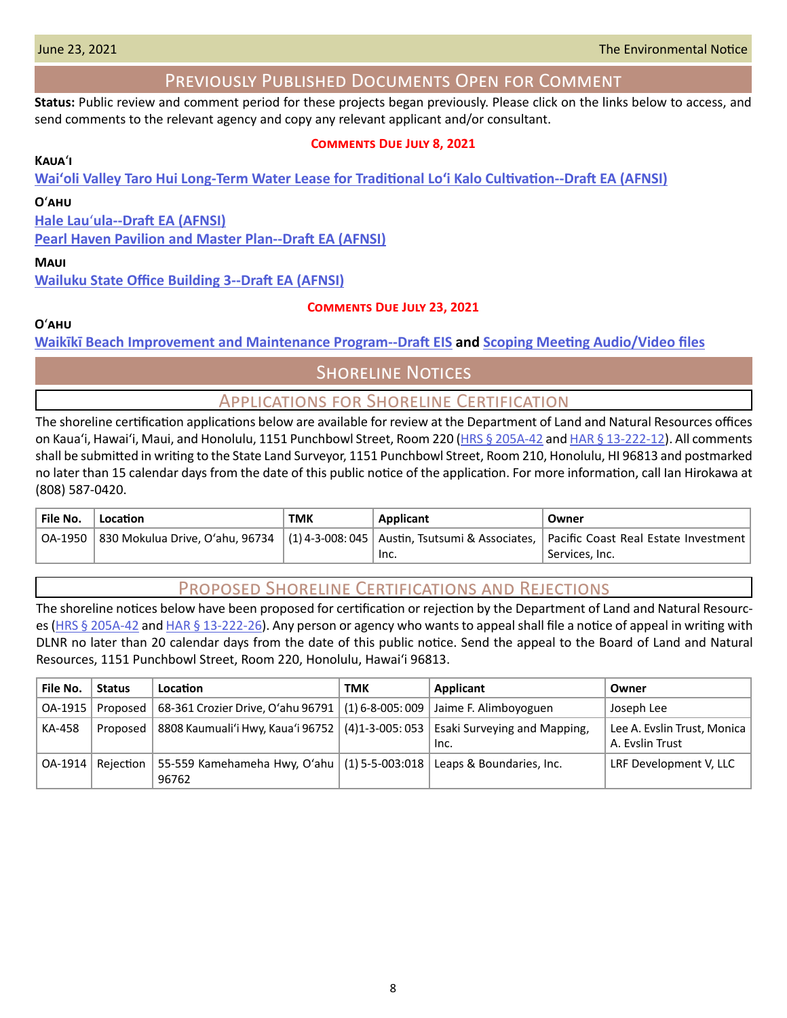# Previously Published Documents Open for Comment

<span id="page-7-0"></span>**Status:** Public review and comment period for these projects began previously. Please click on the links below to access, and send comments to the relevant agency and copy any relevant applicant and/or consultant.

### **Comments Due July 8, 2021**

### **Kaua**ʻ**i**

**[Waiʻoli Valley Taro Hui Long-Term Water Lease for Traditional Loʻi Kalo Cultivation--Draft EA \(AFNSI\)](http://oeqc2.doh.hawaii.gov/Doc_Library/2021-06-08-KA-DEA-Waioli-Valley-Taro-Hui-Long-Term-Water-Lease.pdf)**

### **O**ʻ**ahu**

**Hale Lau**ʻ**[ula--Draft EA \(AFNSI\)](http://oeqc2.doh.hawaii.gov/Doc_Library/2021-06-08-OA-DEA-Hale-Lauula.pdf)**

**[Pearl Haven Pavilion and Master Plan--Draft EA \(AFNSI\)](http://oeqc2.doh.hawaii.gov/Doc_Library/2021-06-08-OA-DEA-Pearl-Haven-Pavilion-and-Master-Plan.pdf)**

### **Maui**

**[Wailuku State Office Building 3--Draft EA \(AFNSI\)](http://oeqc2.doh.hawaii.gov/Doc_Library/2021-06-08-MA-DEA-Wailuku-State-Office-Building-3.pdf)**

### **Comments Due July 23, 2021**

### **O**ʻ**ahu**

**[Waikīkī Beach Improvement and Maintenance Program--Draft EIS](http://oeqc2.doh.hawaii.gov/Doc_Library/2021-06-08-OA-DEIS-Waikiki-Beach-Improvement-and-Maintenance-Program.pdf) and [Scoping Meeting Audio/Video files](http://oeqc2.doh.hawaii.gov/Doc_Library/2021-06-08-OA-DEIS-Waikiki-Beach-Improvement-and-Maintenance-Program-Scoping-Mtg-AV-Files.pdf)**

# **SHORELINE NOTICES**

### Applications for Shoreline Certification

The shoreline certification applications below are available for review at the Department of Land and Natural Resources offices on Kaua'i, Hawai'i, Maui, and Honolulu, 1151 Punchbowl Street, Room 220 [\(HRS § 205A-42](https://www.capitol.hawaii.gov/hrscurrent/Vol04_Ch0201-0257/HRS0205A/HRS_0205A-0042.htm) and [HAR § 13-222-12](https://dlnr.hawaii.gov/ld/files/2013/07/Ch13-222-Amend-Compil-Stand-Rev1.pdf)). All comments shall be submitted in writing to the State Land Surveyor, 1151 Punchbowl Street, Room 210, Honolulu, HI 96813 and postmarked no later than 15 calendar days from the date of this public notice of the application. For more information, call Ian Hirokawa at (808) 587-0420.

| <b>File No.</b> | Location | тмк | Applicant | Owner                                                                                                                                |
|-----------------|----------|-----|-----------|--------------------------------------------------------------------------------------------------------------------------------------|
|                 |          |     |           | OA-1950   830 Mokulua Drive, O'ahu, 96734   (1) 4-3-008: 045   Austin, Tsutsumi & Associates,   Pacific Coast Real Estate Investment |
|                 |          |     | Inc.      | Services, Inc.                                                                                                                       |

# Proposed Shoreline Certifications and Rejections

The shoreline notices below have been proposed for certification or rejection by the Department of Land and Natural Resourc-es [\(HRS § 205A-42](http://HRS § 205A-42) and [HAR § 13-222-26\)](https://dlnr.hawaii.gov/ld/files/2013/07/Ch13-222-Amend-Compil-Stand-Rev1.pdf). Any person or agency who wants to appeal shall file a notice of appeal in writing with DLNR no later than 20 calendar days from the date of this public notice. Send the appeal to the Board of Land and Natural Resources, 1151 Punchbowl Street, Room 220, Honolulu, Hawai'i 96813.

| File No. | <b>Status</b> | Location                                                                           | <b>TMK</b> | Applicant | Owner                                          |
|----------|---------------|------------------------------------------------------------------------------------|------------|-----------|------------------------------------------------|
| OA-1915  | Proposed      | 68-361 Crozier Drive, O'ahu 96791   (1) 6-8-005: 009   Jaime F. Alimboyoguen       |            |           | Joseph Lee                                     |
| KA-458   | Proposed      | 8808 Kaumuali'i Hwy, Kaua'i 96752   (4)1-3-005: 053   Esaki Surveying and Mapping, |            | Inc.      | Lee A. Evslin Trust, Monica<br>A. Evslin Trust |
| OA-1914  | Reiection     | 55-559 Kamehameha Hwy, O'ahu $(1)$ 5-5-003:018 Leaps & Boundaries, Inc.<br>96762   |            |           | LRF Development V, LLC                         |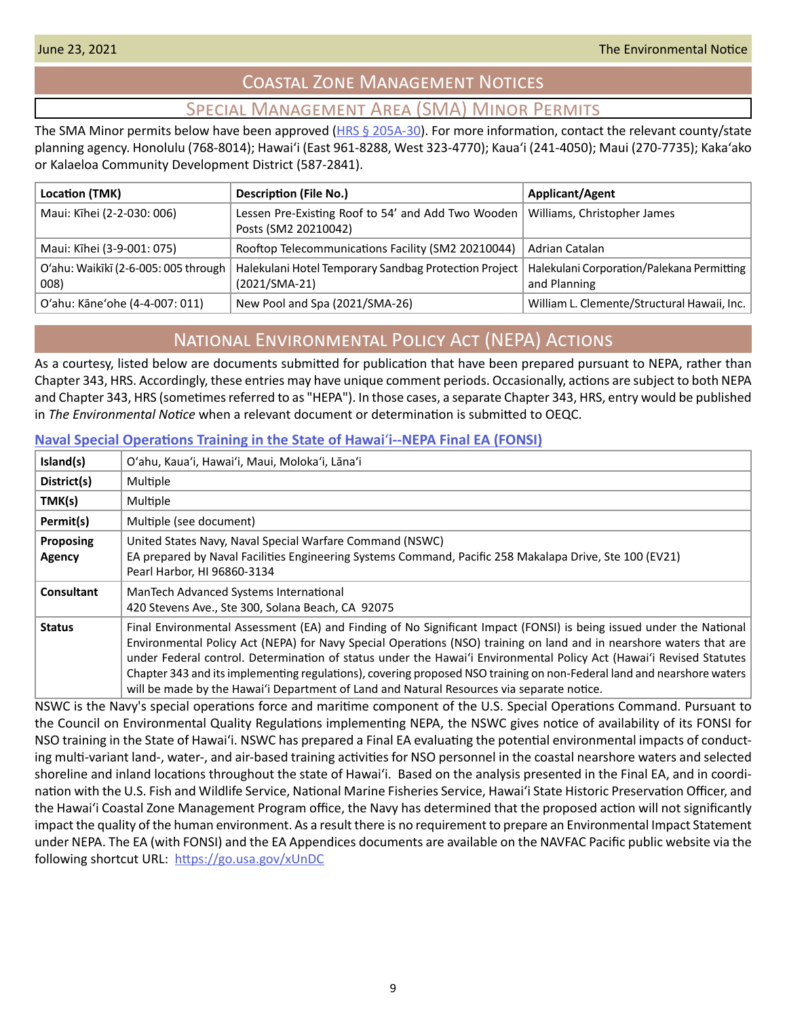# Coastal Zone Management Notices

# Special Management Area (SMA) Minor Permits

<span id="page-8-0"></span>The SMA Minor permits below have been approved ( $HRS \leq 205A-30$ ). For more information, contact the relevant county/state planning agency. Honolulu (768-8014); Hawaiʻi (East 961-8288, West 323-4770); Kauaʻi (241-4050); Maui (270-7735); Kakaʻako or Kalaeloa Community Development District (587-2841).

| Location (TMK)                               | <b>Description (File No.)</b>                                                | Applicant/Agent                                            |
|----------------------------------------------|------------------------------------------------------------------------------|------------------------------------------------------------|
| Maui: Kīhei (2-2-030: 006)                   | Lessen Pre-Existing Roof to 54' and Add Two Wooden  <br>Posts (SM2 20210042) | Williams, Christopher James                                |
| Maui: Kīhei (3-9-001: 075)                   | Rooftop Telecommunications Facility (SM2 20210044)                           | Adrian Catalan                                             |
| O'ahu: Waikīkī (2-6-005: 005 through<br>008) | Halekulani Hotel Temporary Sandbag Protection Project<br>$(2021/SMA-21)$     | Halekulani Corporation/Palekana Permitting<br>and Planning |
| O'ahu: Kāne'ohe (4-4-007: 011)               | New Pool and Spa (2021/SMA-26)                                               | William L. Clemente/Structural Hawaii, Inc.                |

# National Environmental Policy Act (NEPA) Actions

As a courtesy, listed below are documents submitted for publication that have been prepared pursuant to NEPA, rather than Chapter 343, HRS. Accordingly, these entries may have unique comment periods. Occasionally, actions are subject to both NEPA and Chapter 343, HRS (sometimes referred to as "HEPA"). In those cases, a separate Chapter 343, HRS, entry would be published in *The Environmental Notice* when a relevant document or determination is submitted to OEQC.

### **[Naval Special Operations Training in the State of Hawai](http://oeqc2.doh.hawaii.gov/Other_TEN_Publications/2021-06-23-Statewide-Final-NSO-HI-EA-FONSI-(May2021)_508-Corrected-6-JUN-21.pdf)**ʻ**i--NEPA Final EA (FONSI)**

| Island(s)           | O'ahu, Kaua'i, Hawai'i, Maui, Moloka'i, Lāna'i                                                                                                                                                                                                                                                                                                                                                                                                                                                                                                                                           |
|---------------------|------------------------------------------------------------------------------------------------------------------------------------------------------------------------------------------------------------------------------------------------------------------------------------------------------------------------------------------------------------------------------------------------------------------------------------------------------------------------------------------------------------------------------------------------------------------------------------------|
| District(s)         | Multiple                                                                                                                                                                                                                                                                                                                                                                                                                                                                                                                                                                                 |
| TMK(s)              | Multiple                                                                                                                                                                                                                                                                                                                                                                                                                                                                                                                                                                                 |
| Permit(s)           | Multiple (see document)                                                                                                                                                                                                                                                                                                                                                                                                                                                                                                                                                                  |
| Proposing<br>Agency | United States Navy, Naval Special Warfare Command (NSWC)<br>EA prepared by Naval Facilities Engineering Systems Command, Pacific 258 Makalapa Drive, Ste 100 (EV21)<br>Pearl Harbor, HI 96860-3134                                                                                                                                                                                                                                                                                                                                                                                       |
| Consultant          | ManTech Advanced Systems International<br>420 Stevens Ave., Ste 300, Solana Beach, CA 92075                                                                                                                                                                                                                                                                                                                                                                                                                                                                                              |
| <b>Status</b>       | Final Environmental Assessment (EA) and Finding of No Significant Impact (FONSI) is being issued under the National<br>Environmental Policy Act (NEPA) for Navy Special Operations (NSO) training on land and in nearshore waters that are<br>under Federal control. Determination of status under the Hawai'i Environmental Policy Act (Hawai'i Revised Statutes<br>Chapter 343 and its implementing regulations), covering proposed NSO training on non-Federal land and nearshore waters<br>will be made by the Hawai'i Department of Land and Natural Resources via separate notice. |

NSWC is the Navy's special operations force and maritime component of the U.S. Special Operations Command. Pursuant to the Council on Environmental Quality Regulations implementing NEPA, the NSWC gives notice of availability of its FONSI for NSO training in the State of Hawaiʻi. NSWC has prepared a Final EA evaluating the potential environmental impacts of conducting multi-variant land-, water-, and air-based training activities for NSO personnel in the coastal nearshore waters and selected shoreline and inland locations throughout the state of Hawaiʻi. Based on the analysis presented in the Final EA, and in coordination with the U.S. Fish and Wildlife Service, National Marine Fisheries Service, Hawaiʻi State Historic Preservation Officer, and the Hawaiʻi Coastal Zone Management Program office, the Navy has determined that the proposed action will not significantly impact the quality of the human environment. As a result there is no requirement to prepare an Environmental Impact Statement under NEPA. The EA (with FONSI) and the EA Appendices documents are available on the NAVFAC Pacific public website via the following shortcut URL: <https://go.usa.gov/xUnDC>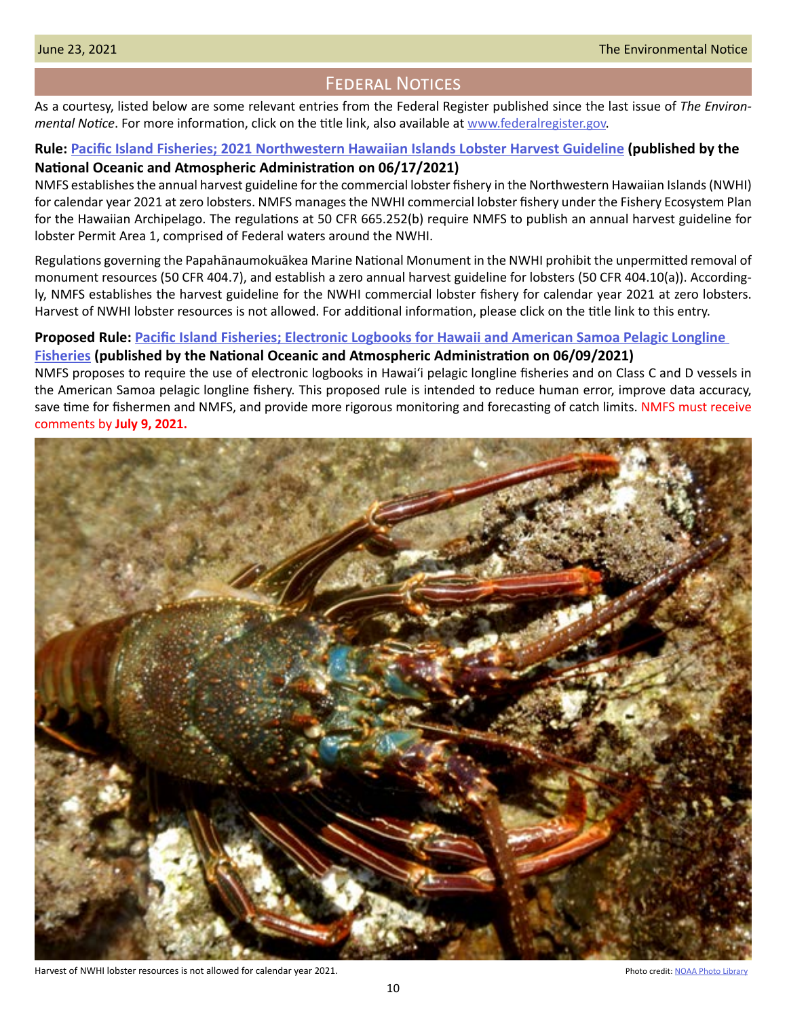# Federal Notices

<span id="page-9-0"></span>As a courtesy, listed below are some relevant entries from the Federal Register published since the last issue of *The Environmental Notice*. For more information, click on the title link, also available at [www.federalregister.gov](http://www.federalregister.gov).

### **Rule: [Pacific Island Fisheries; 2021 Northwestern Hawaiian Islands Lobster Harvest Guideline](https://www.federalregister.gov/documents/2021/06/17/2021-12824/pacific-island-fisheries-2021-northwestern-hawaiian-islands-lobster-harvest-guideline) (published by the National Oceanic and Atmospheric Administration on 06/17/2021)**

NMFS establishes the annual harvest guideline for the commercial lobster fishery in the Northwestern Hawaiian Islands (NWHI) for calendar year 2021 at zero lobsters. NMFS manages the NWHI commercial lobster fishery under the Fishery Ecosystem Plan for the Hawaiian Archipelago. The regulations at 50 CFR 665.252(b) require NMFS to publish an annual harvest guideline for lobster Permit Area 1, comprised of Federal waters around the NWHI.

Regulations governing the Papahānaumokuākea Marine National Monument in the NWHI prohibit the unpermitted removal of monument resources (50 CFR 404.7), and establish a zero annual harvest guideline for lobsters (50 CFR 404.10(a)). Accordingly, NMFS establishes the harvest guideline for the NWHI commercial lobster fishery for calendar year 2021 at zero lobsters. Harvest of NWHI lobster resources is not allowed. For additional information, please click on the title link to this entry.

### **Proposed Rule: [Pacific Island Fisheries; Electronic Logbooks for Hawaii and American Samoa Pelagic Longline](https://www.federalregister.gov/documents/2021/06/09/2021-12067/pacific-island-fisheries-electronic-logbooks-for-hawaii-and-american-samoa-pelagic-longline)**

### **[Fisheries](https://www.federalregister.gov/documents/2021/06/09/2021-12067/pacific-island-fisheries-electronic-logbooks-for-hawaii-and-american-samoa-pelagic-longline) (published by the National Oceanic and Atmospheric Administration on 06/09/2021)**

NMFS proposes to require the use of electronic logbooks in Hawaiʻi pelagic longline fisheries and on Class C and D vessels in the American Samoa pelagic longline fishery. This proposed rule is intended to reduce human error, improve data accuracy, save time for fishermen and NMFS, and provide more rigorous monitoring and forecasting of catch limits. NMFS must receive comments by **July 9, 2021.**



Harvest of NWHI lobster resources is not allowed for calendar year 2021. The state of the state of [NOAA Photo Library](https://www.flickr.com/photos/noaaphotolib/27555178444/in/photolist-9najFE-DVmH2h-Dm6hEm-JSkptq-HYXE4V-DtBZ5T-JNraqx-HYXLns-HYXuxw-EiNMtT-DmqSAZ-HD372E-D8ag1p-DDSy9F-EiNM8n-DuWgF3-DDP49n-D9oXn8-baCbY6-DnF7Fs-EpsH8c-HCZoYv-Dex329-DzZvGN-Ee1Ax7-DXkxM3-29966om-KwTsp4-DhhU8K-CsbfiZ-Dm9dnC-Ee1A4m-DsE7QK-EiSB7T-DAhTxx) Photo Library Photo Library